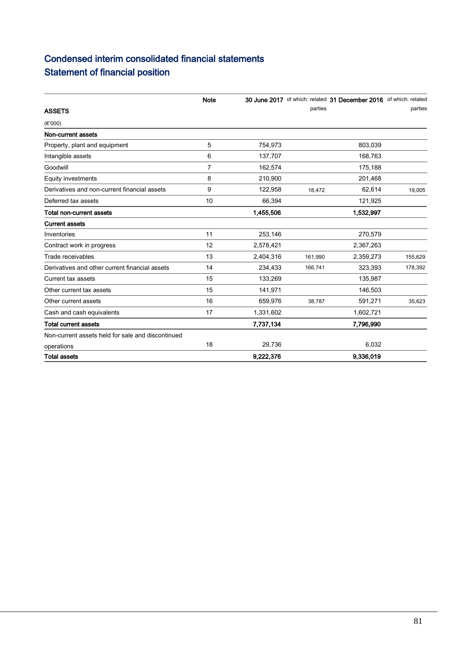## Condensed interim consolidated financial statements Statement of financial position

|                                                   | <b>Note</b>    |           |         | 30 June 2017 of which: related 31 December 2016 of which: related |         |
|---------------------------------------------------|----------------|-----------|---------|-------------------------------------------------------------------|---------|
| <b>ASSETS</b>                                     |                |           | parties |                                                                   | parties |
| (E'000)                                           |                |           |         |                                                                   |         |
| Non-current assets                                |                |           |         |                                                                   |         |
| Property, plant and equipment                     | 5              | 754,973   |         | 803,039                                                           |         |
| Intangible assets                                 | 6              | 137,707   |         | 168,763                                                           |         |
| Goodwill                                          | $\overline{7}$ | 162,574   |         | 175,188                                                           |         |
| <b>Equity investments</b>                         | 8              | 210,900   |         | 201,468                                                           |         |
| Derivatives and non-current financial assets      | 9              | 122,958   | 18,472  | 62,614                                                            | 19,005  |
| Deferred tax assets                               | 10             | 66,394    |         | 121,925                                                           |         |
| Total non-current assets                          |                | 1,455,506 |         | 1,532,997                                                         |         |
| <b>Current assets</b>                             |                |           |         |                                                                   |         |
| Inventories                                       | 11             | 253,146   |         | 270,579                                                           |         |
| Contract work in progress                         | 12             | 2,578,421 |         | 2,367,263                                                         |         |
| Trade receivables                                 | 13             | 2,404,316 | 161,990 | 2,359,273                                                         | 155,629 |
| Derivatives and other current financial assets    | 14             | 234,433   | 166,741 | 323,393                                                           | 178,392 |
| Current tax assets                                | 15             | 133,269   |         | 135,987                                                           |         |
| Other current tax assets                          | 15             | 141,971   |         | 146,503                                                           |         |
| Other current assets                              | 16             | 659,976   | 38,787  | 591,271                                                           | 35,623  |
| Cash and cash equivalents                         | 17             | 1,331,602 |         | 1,602,721                                                         |         |
| <b>Total current assets</b>                       |                | 7,737,134 |         | 7,796,990                                                         |         |
| Non-current assets held for sale and discontinued |                |           |         |                                                                   |         |
| operations                                        | 18             | 29,736    |         | 6,032                                                             |         |
| <b>Total assets</b>                               |                | 9,222,376 |         | 9,336,019                                                         |         |